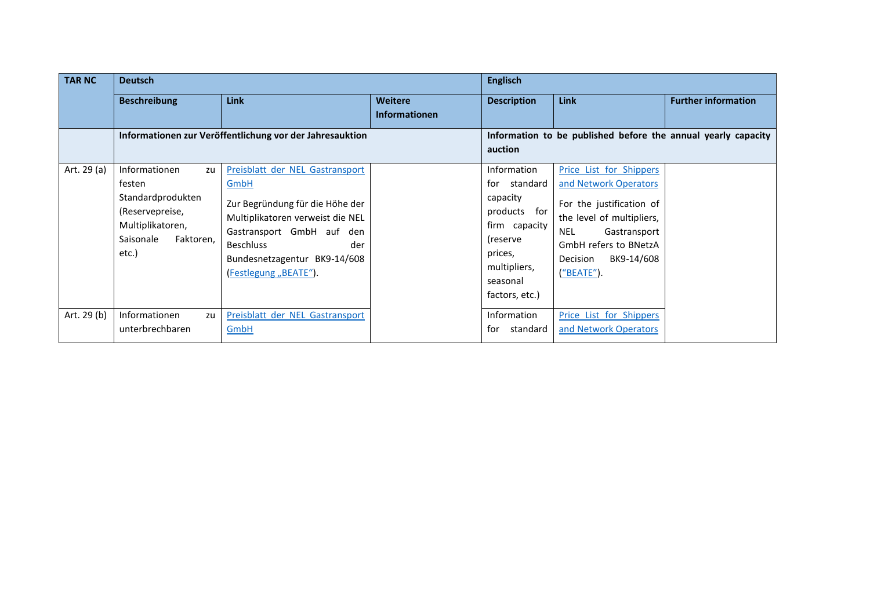| <b>TAR NC</b> | <b>Deutsch</b>                                                                                                                      |                                                                                                                                                                                                                                 |                                 | <b>Englisch</b>                                                                                                                               |                                                                                                                                                                                                          |                            |
|---------------|-------------------------------------------------------------------------------------------------------------------------------------|---------------------------------------------------------------------------------------------------------------------------------------------------------------------------------------------------------------------------------|---------------------------------|-----------------------------------------------------------------------------------------------------------------------------------------------|----------------------------------------------------------------------------------------------------------------------------------------------------------------------------------------------------------|----------------------------|
|               | <b>Beschreibung</b>                                                                                                                 | <b>Link</b>                                                                                                                                                                                                                     | Weitere<br><b>Informationen</b> | <b>Description</b>                                                                                                                            | <b>Link</b>                                                                                                                                                                                              | <b>Further information</b> |
|               | Informationen zur Veröffentlichung vor der Jahresauktion                                                                            |                                                                                                                                                                                                                                 |                                 | Information to be published before the annual yearly capacity<br>auction                                                                      |                                                                                                                                                                                                          |                            |
| Art. 29 (a)   | <b>Informationen</b><br>zu<br>festen<br>Standardprodukten<br>(Reservepreise,<br>Multiplikatoren,<br>Saisonale<br>Faktoren,<br>etc.) | Preisblatt der NEL Gastransport<br>GmbH<br>Zur Begründung für die Höhe der<br>Multiplikatoren verweist die NEL<br>Gastransport GmbH auf den<br><b>Beschluss</b><br>der<br>Bundesnetzagentur BK9-14/608<br>(Festlegung "BEATE"). |                                 | Information<br>for standard<br>capacity<br>products for<br>firm capacity<br>(reserve<br>prices,<br>multipliers,<br>seasonal<br>factors, etc.) | Price List for Shippers<br>and Network Operators<br>For the justification of<br>the level of multipliers,<br><b>NEL</b><br>Gastransport<br>GmbH refers to BNetzA<br>Decision<br>BK9-14/608<br>("BEATE"). |                            |
| Art. 29 (b)   | Informationen<br>zu<br>unterbrechbaren                                                                                              | Preisblatt der NEL Gastransport<br>GmbH                                                                                                                                                                                         |                                 | Information<br>standard<br>tor                                                                                                                | Price List for Shippers<br>and Network Operators                                                                                                                                                         |                            |